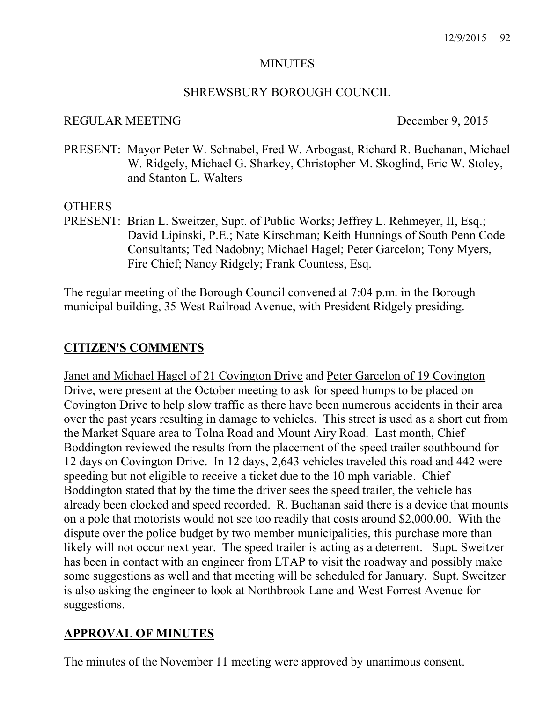#### **MINUTES**

#### SHREWSBURY BOROUGH COUNCIL

#### REGULAR MEETING December 9, 2015

PRESENT: Mayor Peter W. Schnabel, Fred W. Arbogast, Richard R. Buchanan, Michael W. Ridgely, Michael G. Sharkey, Christopher M. Skoglind, Eric W. Stoley, and Stanton L. Walters

## **OTHERS**

PRESENT: Brian L. Sweitzer, Supt. of Public Works; Jeffrey L. Rehmeyer, II, Esq.; David Lipinski, P.E.; Nate Kirschman; Keith Hunnings of South Penn Code Consultants; Ted Nadobny; Michael Hagel; Peter Garcelon; Tony Myers, Fire Chief; Nancy Ridgely; Frank Countess, Esq.

The regular meeting of the Borough Council convened at 7:04 p.m. in the Borough municipal building, 35 West Railroad Avenue, with President Ridgely presiding.

# CITIZEN'S COMMENTS

Janet and Michael Hagel of 21 Covington Drive and Peter Garcelon of 19 Covington Drive, were present at the October meeting to ask for speed humps to be placed on Covington Drive to help slow traffic as there have been numerous accidents in their area over the past years resulting in damage to vehicles. This street is used as a short cut from the Market Square area to Tolna Road and Mount Airy Road. Last month, Chief Boddington reviewed the results from the placement of the speed trailer southbound for 12 days on Covington Drive. In 12 days, 2,643 vehicles traveled this road and 442 were speeding but not eligible to receive a ticket due to the 10 mph variable. Chief Boddington stated that by the time the driver sees the speed trailer, the vehicle has already been clocked and speed recorded. R. Buchanan said there is a device that mounts on a pole that motorists would not see too readily that costs around \$2,000.00. With the dispute over the police budget by two member municipalities, this purchase more than likely will not occur next year. The speed trailer is acting as a deterrent. Supt. Sweitzer has been in contact with an engineer from LTAP to visit the roadway and possibly make some suggestions as well and that meeting will be scheduled for January. Supt. Sweitzer is also asking the engineer to look at Northbrook Lane and West Forrest Avenue for suggestions.

# APPROVAL OF MINUTES

The minutes of the November 11 meeting were approved by unanimous consent.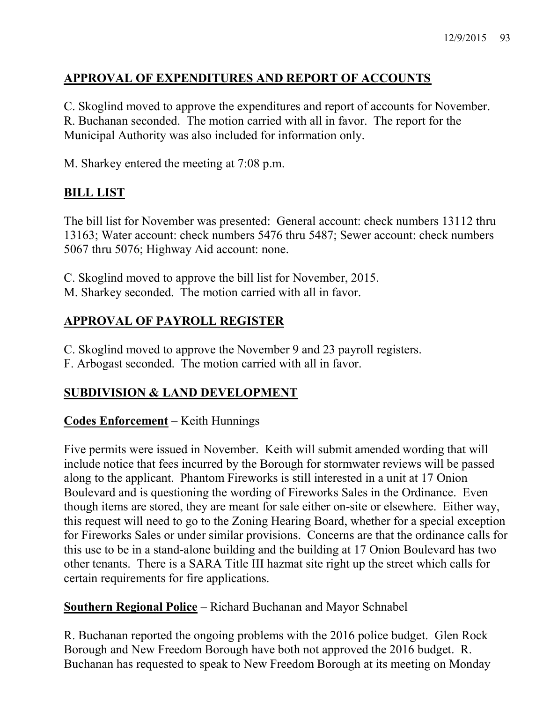# APPROVAL OF EXPENDITURES AND REPORT OF ACCOUNTS

C. Skoglind moved to approve the expenditures and report of accounts for November. R. Buchanan seconded. The motion carried with all in favor. The report for the Municipal Authority was also included for information only.

M. Sharkey entered the meeting at 7:08 p.m.

# BILL LIST

The bill list for November was presented: General account: check numbers 13112 thru 13163; Water account: check numbers 5476 thru 5487; Sewer account: check numbers 5067 thru 5076; Highway Aid account: none.

C. Skoglind moved to approve the bill list for November, 2015. M. Sharkey seconded. The motion carried with all in favor.

# APPROVAL OF PAYROLL REGISTER

- C. Skoglind moved to approve the November 9 and 23 payroll registers.
- F. Arbogast seconded. The motion carried with all in favor.

# SUBDIVISION & LAND DEVELOPMENT

# Codes Enforcement – Keith Hunnings

Five permits were issued in November. Keith will submit amended wording that will include notice that fees incurred by the Borough for stormwater reviews will be passed along to the applicant. Phantom Fireworks is still interested in a unit at 17 Onion Boulevard and is questioning the wording of Fireworks Sales in the Ordinance. Even though items are stored, they are meant for sale either on-site or elsewhere. Either way, this request will need to go to the Zoning Hearing Board, whether for a special exception for Fireworks Sales or under similar provisions. Concerns are that the ordinance calls for this use to be in a stand-alone building and the building at 17 Onion Boulevard has two other tenants. There is a SARA Title III hazmat site right up the street which calls for certain requirements for fire applications.

# Southern Regional Police – Richard Buchanan and Mayor Schnabel

R. Buchanan reported the ongoing problems with the 2016 police budget. Glen Rock Borough and New Freedom Borough have both not approved the 2016 budget. R. Buchanan has requested to speak to New Freedom Borough at its meeting on Monday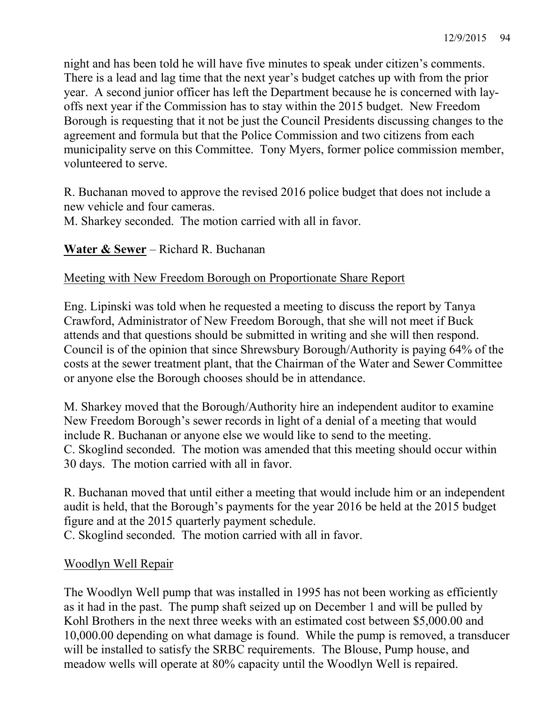night and has been told he will have five minutes to speak under citizen's comments. There is a lead and lag time that the next year's budget catches up with from the prior year. A second junior officer has left the Department because he is concerned with layoffs next year if the Commission has to stay within the 2015 budget. New Freedom Borough is requesting that it not be just the Council Presidents discussing changes to the agreement and formula but that the Police Commission and two citizens from each municipality serve on this Committee. Tony Myers, former police commission member, volunteered to serve.

R. Buchanan moved to approve the revised 2016 police budget that does not include a new vehicle and four cameras.

M. Sharkey seconded. The motion carried with all in favor.

Water & Sewer – Richard R. Buchanan

# Meeting with New Freedom Borough on Proportionate Share Report

Eng. Lipinski was told when he requested a meeting to discuss the report by Tanya Crawford, Administrator of New Freedom Borough, that she will not meet if Buck attends and that questions should be submitted in writing and she will then respond. Council is of the opinion that since Shrewsbury Borough/Authority is paying 64% of the costs at the sewer treatment plant, that the Chairman of the Water and Sewer Committee or anyone else the Borough chooses should be in attendance.

M. Sharkey moved that the Borough/Authority hire an independent auditor to examine New Freedom Borough's sewer records in light of a denial of a meeting that would include R. Buchanan or anyone else we would like to send to the meeting. C. Skoglind seconded. The motion was amended that this meeting should occur within 30 days. The motion carried with all in favor.

R. Buchanan moved that until either a meeting that would include him or an independent audit is held, that the Borough's payments for the year 2016 be held at the 2015 budget figure and at the 2015 quarterly payment schedule.

C. Skoglind seconded. The motion carried with all in favor.

# Woodlyn Well Repair

The Woodlyn Well pump that was installed in 1995 has not been working as efficiently as it had in the past. The pump shaft seized up on December 1 and will be pulled by Kohl Brothers in the next three weeks with an estimated cost between \$5,000.00 and 10,000.00 depending on what damage is found. While the pump is removed, a transducer will be installed to satisfy the SRBC requirements. The Blouse, Pump house, and meadow wells will operate at 80% capacity until the Woodlyn Well is repaired.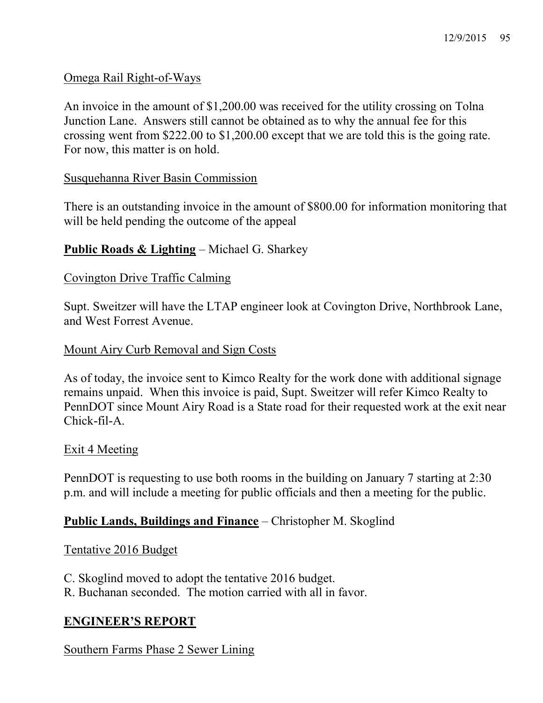## Omega Rail Right-of-Ways

An invoice in the amount of \$1,200.00 was received for the utility crossing on Tolna Junction Lane. Answers still cannot be obtained as to why the annual fee for this crossing went from \$222.00 to \$1,200.00 except that we are told this is the going rate. For now, this matter is on hold.

## Susquehanna River Basin Commission

There is an outstanding invoice in the amount of \$800.00 for information monitoring that will be held pending the outcome of the appeal

## Public Roads & Lighting – Michael G. Sharkey

#### Covington Drive Traffic Calming

Supt. Sweitzer will have the LTAP engineer look at Covington Drive, Northbrook Lane, and West Forrest Avenue.

#### Mount Airy Curb Removal and Sign Costs

As of today, the invoice sent to Kimco Realty for the work done with additional signage remains unpaid. When this invoice is paid, Supt. Sweitzer will refer Kimco Realty to PennDOT since Mount Airy Road is a State road for their requested work at the exit near Chick-fil-A.

#### Exit 4 Meeting

PennDOT is requesting to use both rooms in the building on January 7 starting at 2:30 p.m. and will include a meeting for public officials and then a meeting for the public.

## Public Lands, Buildings and Finance – Christopher M. Skoglind

## Tentative 2016 Budget

C. Skoglind moved to adopt the tentative 2016 budget.

# R. Buchanan seconded. The motion carried with all in favor.

# ENGINEER'S REPORT

Southern Farms Phase 2 Sewer Lining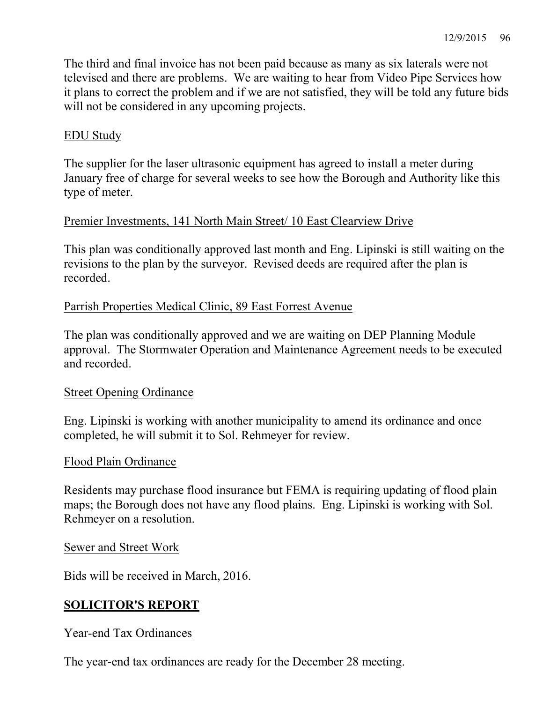The third and final invoice has not been paid because as many as six laterals were not televised and there are problems. We are waiting to hear from Video Pipe Services how it plans to correct the problem and if we are not satisfied, they will be told any future bids will not be considered in any upcoming projects.

#### EDU Study

The supplier for the laser ultrasonic equipment has agreed to install a meter during January free of charge for several weeks to see how the Borough and Authority like this type of meter.

#### Premier Investments, 141 North Main Street/ 10 East Clearview Drive

This plan was conditionally approved last month and Eng. Lipinski is still waiting on the revisions to the plan by the surveyor. Revised deeds are required after the plan is recorded.

#### Parrish Properties Medical Clinic, 89 East Forrest Avenue

The plan was conditionally approved and we are waiting on DEP Planning Module approval. The Stormwater Operation and Maintenance Agreement needs to be executed and recorded.

#### Street Opening Ordinance

Eng. Lipinski is working with another municipality to amend its ordinance and once completed, he will submit it to Sol. Rehmeyer for review.

#### Flood Plain Ordinance

Residents may purchase flood insurance but FEMA is requiring updating of flood plain maps; the Borough does not have any flood plains. Eng. Lipinski is working with Sol. Rehmeyer on a resolution.

#### Sewer and Street Work

Bids will be received in March, 2016.

## SOLICITOR'S REPORT

#### Year-end Tax Ordinances

The year-end tax ordinances are ready for the December 28 meeting.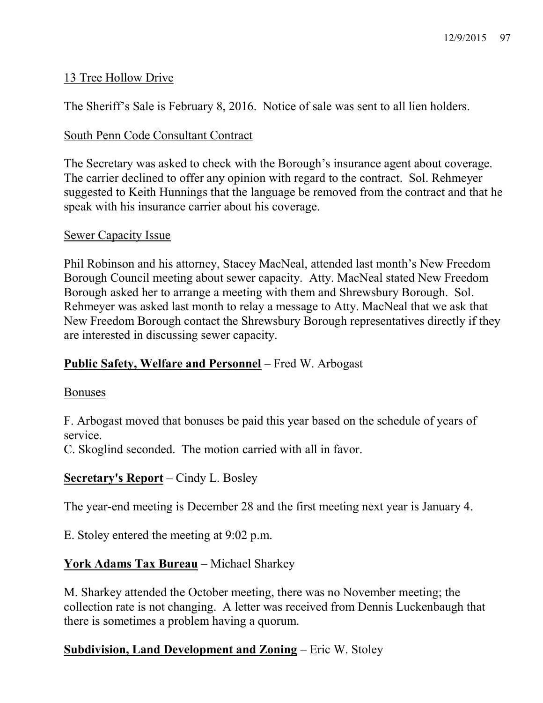# 13 Tree Hollow Drive

The Sheriff's Sale is February 8, 2016. Notice of sale was sent to all lien holders.

## South Penn Code Consultant Contract

The Secretary was asked to check with the Borough's insurance agent about coverage. The carrier declined to offer any opinion with regard to the contract. Sol. Rehmeyer suggested to Keith Hunnings that the language be removed from the contract and that he speak with his insurance carrier about his coverage.

## Sewer Capacity Issue

Phil Robinson and his attorney, Stacey MacNeal, attended last month's New Freedom Borough Council meeting about sewer capacity. Atty. MacNeal stated New Freedom Borough asked her to arrange a meeting with them and Shrewsbury Borough. Sol. Rehmeyer was asked last month to relay a message to Atty. MacNeal that we ask that New Freedom Borough contact the Shrewsbury Borough representatives directly if they are interested in discussing sewer capacity.

# Public Safety, Welfare and Personnel – Fred W. Arbogast

## Bonuses

F. Arbogast moved that bonuses be paid this year based on the schedule of years of service.

C. Skoglind seconded. The motion carried with all in favor.

# Secretary's Report – Cindy L. Bosley

The year-end meeting is December 28 and the first meeting next year is January 4.

E. Stoley entered the meeting at 9:02 p.m.

# York Adams Tax Bureau – Michael Sharkey

M. Sharkey attended the October meeting, there was no November meeting; the collection rate is not changing. A letter was received from Dennis Luckenbaugh that there is sometimes a problem having a quorum.

# Subdivision, Land Development and Zoning – Eric W. Stoley